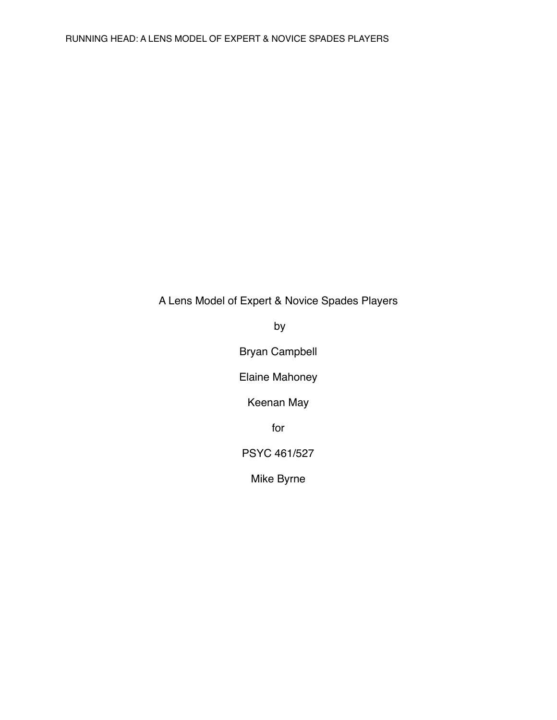# A Lens Model of Expert & Novice Spades Players

by

Bryan Campbell

Elaine Mahoney

Keenan May

for

PSYC 461/527

Mike Byrne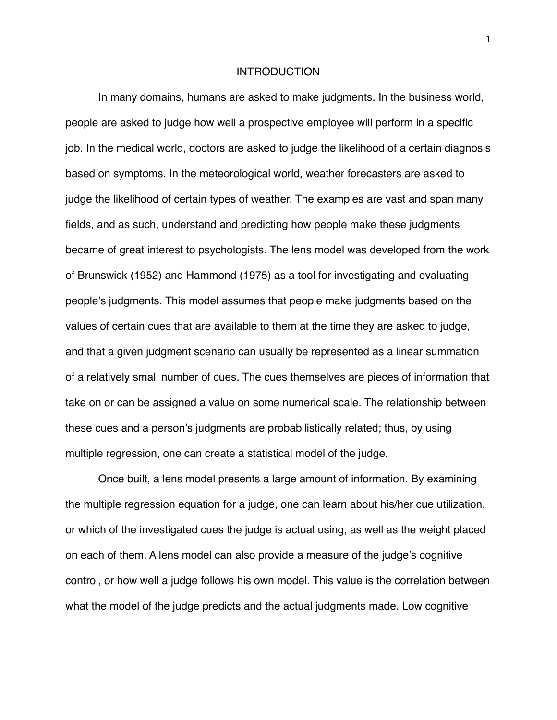## INTRODUCTION

In many domains, humans are asked to make judgments. In the business world, people are asked to judge how well a prospective employee will perform in a specific job. In the medical world, doctors are asked to judge the likelihood of a certain diagnosis based on symptoms. In the meteorological world, weather forecasters are asked to judge the likelihood of certain types of weather. The examples are vast and span many fields, and as such, understand and predicting how people make these judgments became of great interest to psychologists. The lens model was developed from the work of Brunswick (1952) and Hammond (1975) as a tool for investigating and evaluating people's judgments. This model assumes that people make judgments based on the values of certain cues that are available to them at the time they are asked to judge, and that a given judgment scenario can usually be represented as a linear summation of a relatively small number of cues. The cues themselves are pieces of information that take on or can be assigned a value on some numerical scale. The relationship between these cues and a person's judgments are probabilistically related; thus, by using multiple regression, one can create a statistical model of the judge.

Once built, a lens model presents a large amount of information. By examining the multiple regression equation for a judge, one can learn about his/her cue utilization, or which of the investigated cues the judge is actual using, as well as the weight placed on each of them. A lens model can also provide a measure of the judge's cognitive control, or how well a judge follows his own model. This value is the correlation between what the model of the judge predicts and the actual judgments made. Low cognitive

1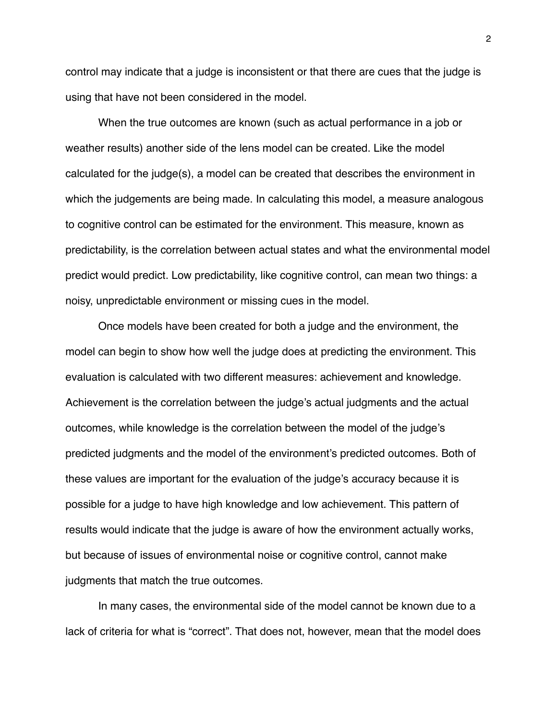control may indicate that a judge is inconsistent or that there are cues that the judge is using that have not been considered in the model.

When the true outcomes are known (such as actual performance in a job or weather results) another side of the lens model can be created. Like the model calculated for the judge(s), a model can be created that describes the environment in which the judgements are being made. In calculating this model, a measure analogous to cognitive control can be estimated for the environment. This measure, known as predictability, is the correlation between actual states and what the environmental model predict would predict. Low predictability, like cognitive control, can mean two things: a noisy, unpredictable environment or missing cues in the model.

Once models have been created for both a judge and the environment, the model can begin to show how well the judge does at predicting the environment. This evaluation is calculated with two different measures: achievement and knowledge. Achievement is the correlation between the judge's actual judgments and the actual outcomes, while knowledge is the correlation between the model of the judge's predicted judgments and the model of the environment's predicted outcomes. Both of these values are important for the evaluation of the judge's accuracy because it is possible for a judge to have high knowledge and low achievement. This pattern of results would indicate that the judge is aware of how the environment actually works, but because of issues of environmental noise or cognitive control, cannot make judgments that match the true outcomes.

In many cases, the environmental side of the model cannot be known due to a lack of criteria for what is "correct". That does not, however, mean that the model does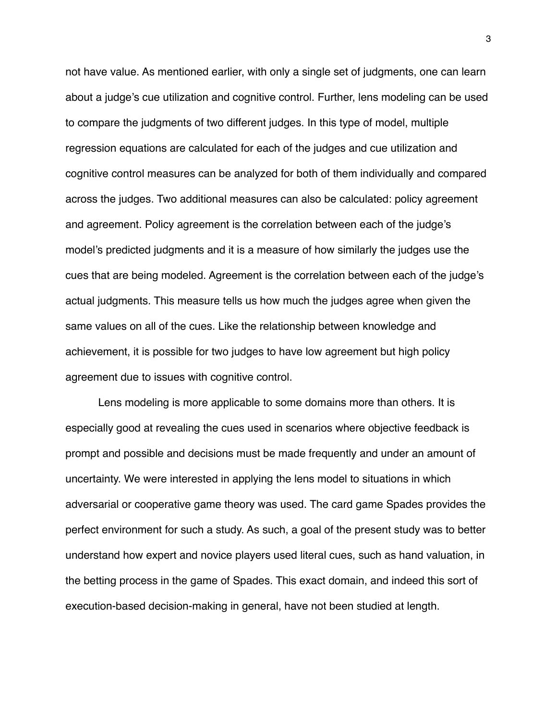not have value. As mentioned earlier, with only a single set of judgments, one can learn about a judge's cue utilization and cognitive control. Further, lens modeling can be used to compare the judgments of two different judges. In this type of model, multiple regression equations are calculated for each of the judges and cue utilization and cognitive control measures can be analyzed for both of them individually and compared across the judges. Two additional measures can also be calculated: policy agreement and agreement. Policy agreement is the correlation between each of the judge's model's predicted judgments and it is a measure of how similarly the judges use the cues that are being modeled. Agreement is the correlation between each of the judge's actual judgments. This measure tells us how much the judges agree when given the same values on all of the cues. Like the relationship between knowledge and achievement, it is possible for two judges to have low agreement but high policy agreement due to issues with cognitive control.

Lens modeling is more applicable to some domains more than others. It is especially good at revealing the cues used in scenarios where objective feedback is prompt and possible and decisions must be made frequently and under an amount of uncertainty. We were interested in applying the lens model to situations in which adversarial or cooperative game theory was used. The card game Spades provides the perfect environment for such a study. As such, a goal of the present study was to better understand how expert and novice players used literal cues, such as hand valuation, in the betting process in the game of Spades. This exact domain, and indeed this sort of execution-based decision-making in general, have not been studied at length.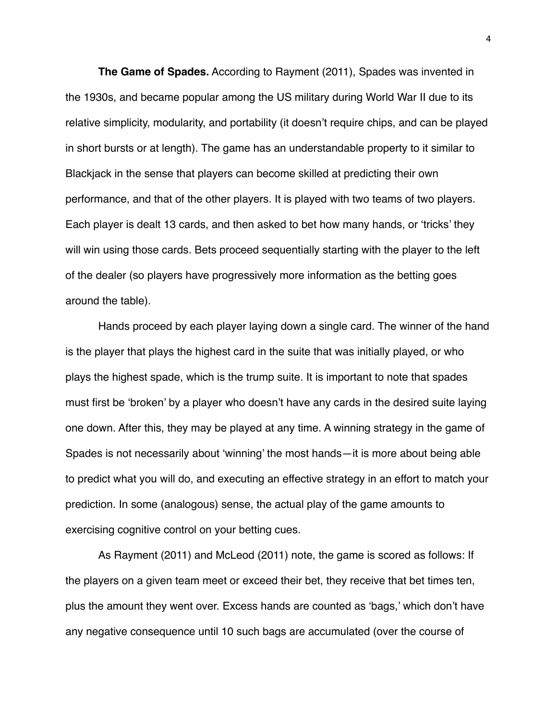**The Game of Spades.** According to Rayment (2011), Spades was invented in the 1930s, and became popular among the US military during World War II due to its relative simplicity, modularity, and portability (it doesn't require chips, and can be played in short bursts or at length). The game has an understandable property to it similar to Blackjack in the sense that players can become skilled at predicting their own performance, and that of the other players. It is played with two teams of two players. Each player is dealt 13 cards, and then asked to bet how many hands, or 'tricks' they will win using those cards. Bets proceed sequentially starting with the player to the left of the dealer (so players have progressively more information as the betting goes around the table).

Hands proceed by each player laying down a single card. The winner of the hand is the player that plays the highest card in the suite that was initially played, or who plays the highest spade, which is the trump suite. It is important to note that spades must first be 'broken' by a player who doesn't have any cards in the desired suite laying one down. After this, they may be played at any time. A winning strategy in the game of Spades is not necessarily about 'winning' the most hands—it is more about being able to predict what you will do, and executing an effective strategy in an effort to match your prediction. In some (analogous) sense, the actual play of the game amounts to exercising cognitive control on your betting cues.

As Rayment (2011) and McLeod (2011) note, the game is scored as follows: If the players on a given team meet or exceed their bet, they receive that bet times ten, plus the amount they went over. Excess hands are counted as 'bags,' which don't have any negative consequence until 10 such bags are accumulated (over the course of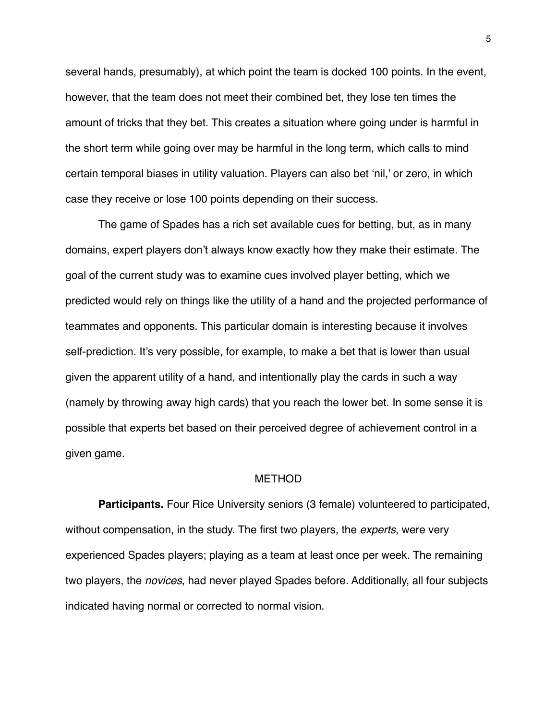several hands, presumably), at which point the team is docked 100 points. In the event, however, that the team does not meet their combined bet, they lose ten times the amount of tricks that they bet. This creates a situation where going under is harmful in the short term while going over may be harmful in the long term, which calls to mind certain temporal biases in utility valuation. Players can also bet 'nil,' or zero, in which case they receive or lose 100 points depending on their success.

The game of Spades has a rich set available cues for betting, but, as in many domains, expert players don't always know exactly how they make their estimate. The goal of the current study was to examine cues involved player betting, which we predicted would rely on things like the utility of a hand and the projected performance of teammates and opponents. This particular domain is interesting because it involves self-prediction. It's very possible, for example, to make a bet that is lower than usual given the apparent utility of a hand, and intentionally play the cards in such a way (namely by throwing away high cards) that you reach the lower bet. In some sense it is possible that experts bet based on their perceived degree of achievement control in a given game.

## METHOD

**Participants.** Four Rice University seniors (3 female) volunteered to participated, without compensation, in the study. The first two players, the *experts*, were very experienced Spades players; playing as a team at least once per week. The remaining two players, the *novices*, had never played Spades before. Additionally, all four subjects indicated having normal or corrected to normal vision.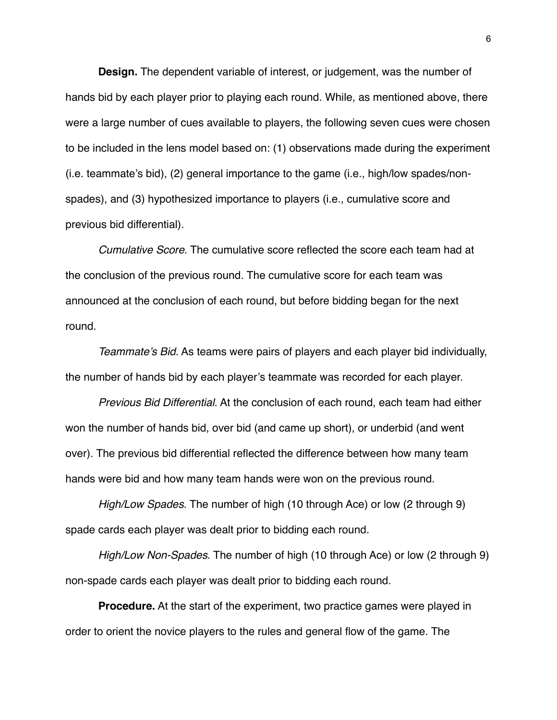**Design.** The dependent variable of interest, or judgement, was the number of hands bid by each player prior to playing each round. While, as mentioned above, there were a large number of cues available to players, the following seven cues were chosen to be included in the lens model based on: (1) observations made during the experiment (i.e. teammate's bid), (2) general importance to the game (i.e., high/low spades/nonspades), and (3) hypothesized importance to players (i.e., cumulative score and previous bid differential).

*Cumulative Score*. The cumulative score reflected the score each team had at the conclusion of the previous round. The cumulative score for each team was announced at the conclusion of each round, but before bidding began for the next round.

*Teammate's Bid*. As teams were pairs of players and each player bid individually, the number of hands bid by each player's teammate was recorded for each player.

*Previous Bid Differential*. At the conclusion of each round, each team had either won the number of hands bid, over bid (and came up short), or underbid (and went over). The previous bid differential reflected the difference between how many team hands were bid and how many team hands were won on the previous round.

*High/Low Spades*. The number of high (10 through Ace) or low (2 through 9) spade cards each player was dealt prior to bidding each round.

*High/Low Non-Spades*. The number of high (10 through Ace) or low (2 through 9) non-spade cards each player was dealt prior to bidding each round.

**Procedure.** At the start of the experiment, two practice games were played in order to orient the novice players to the rules and general flow of the game. The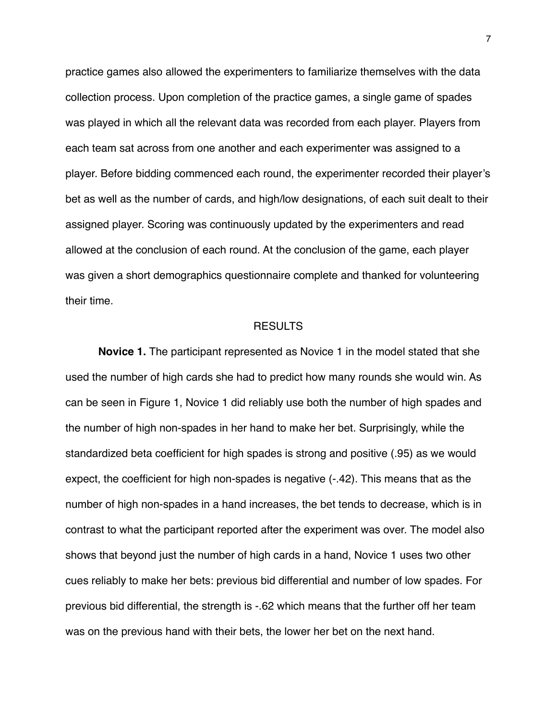practice games also allowed the experimenters to familiarize themselves with the data collection process. Upon completion of the practice games, a single game of spades was played in which all the relevant data was recorded from each player. Players from each team sat across from one another and each experimenter was assigned to a player. Before bidding commenced each round, the experimenter recorded their player's bet as well as the number of cards, and high/low designations, of each suit dealt to their assigned player. Scoring was continuously updated by the experimenters and read allowed at the conclusion of each round. At the conclusion of the game, each player was given a short demographics questionnaire complete and thanked for volunteering their time.

# RESULTS

**Novice 1.** The participant represented as Novice 1 in the model stated that she used the number of high cards she had to predict how many rounds she would win. As can be seen in Figure 1, Novice 1 did reliably use both the number of high spades and the number of high non-spades in her hand to make her bet. Surprisingly, while the standardized beta coefficient for high spades is strong and positive (.95) as we would expect, the coefficient for high non-spades is negative (-.42). This means that as the number of high non-spades in a hand increases, the bet tends to decrease, which is in contrast to what the participant reported after the experiment was over. The model also shows that beyond just the number of high cards in a hand, Novice 1 uses two other cues reliably to make her bets: previous bid differential and number of low spades. For previous bid differential, the strength is -.62 which means that the further off her team was on the previous hand with their bets, the lower her bet on the next hand.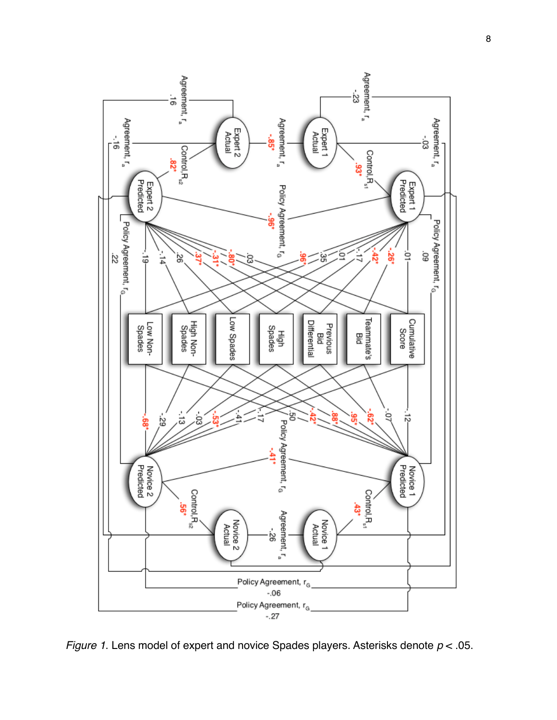

*Figure 1*. Lens model of expert and novice Spades players. Asterisks denote *p* < .05.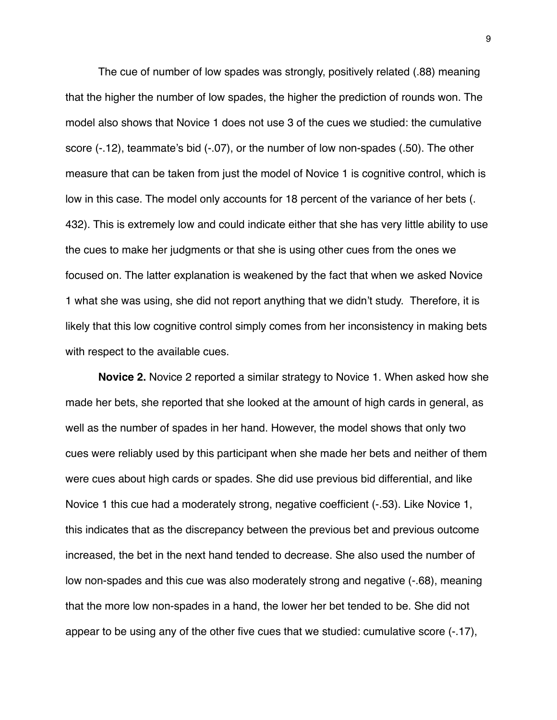The cue of number of low spades was strongly, positively related (.88) meaning that the higher the number of low spades, the higher the prediction of rounds won. The model also shows that Novice 1 does not use 3 of the cues we studied: the cumulative score (-.12), teammate's bid (-.07), or the number of low non-spades (.50). The other measure that can be taken from just the model of Novice 1 is cognitive control, which is low in this case. The model only accounts for 18 percent of the variance of her bets (. 432). This is extremely low and could indicate either that she has very little ability to use the cues to make her judgments or that she is using other cues from the ones we focused on. The latter explanation is weakened by the fact that when we asked Novice 1 what she was using, she did not report anything that we didn't study. Therefore, it is likely that this low cognitive control simply comes from her inconsistency in making bets with respect to the available cues.

**Novice 2.** Novice 2 reported a similar strategy to Novice 1. When asked how she made her bets, she reported that she looked at the amount of high cards in general, as well as the number of spades in her hand. However, the model shows that only two cues were reliably used by this participant when she made her bets and neither of them were cues about high cards or spades. She did use previous bid differential, and like Novice 1 this cue had a moderately strong, negative coefficient (-.53). Like Novice 1, this indicates that as the discrepancy between the previous bet and previous outcome increased, the bet in the next hand tended to decrease. She also used the number of low non-spades and this cue was also moderately strong and negative (-.68), meaning that the more low non-spades in a hand, the lower her bet tended to be. She did not appear to be using any of the other five cues that we studied: cumulative score (-.17),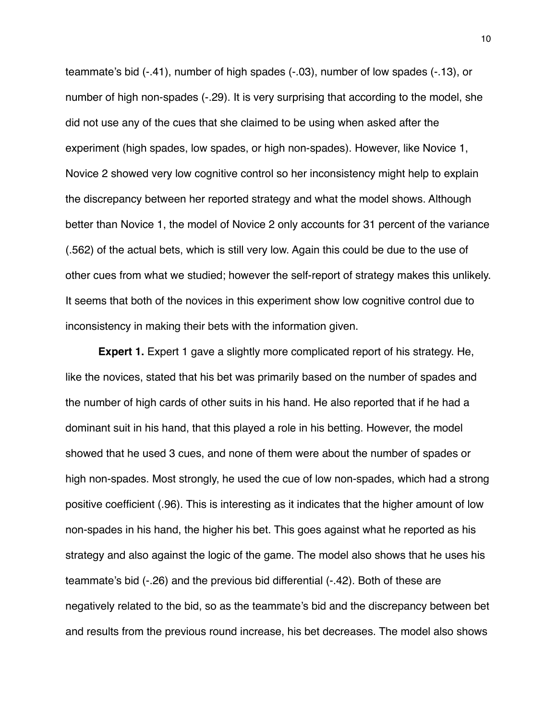teammate's bid (-.41), number of high spades (-.03), number of low spades (-.13), or number of high non-spades (-.29). It is very surprising that according to the model, she did not use any of the cues that she claimed to be using when asked after the experiment (high spades, low spades, or high non-spades). However, like Novice 1, Novice 2 showed very low cognitive control so her inconsistency might help to explain the discrepancy between her reported strategy and what the model shows. Although better than Novice 1, the model of Novice 2 only accounts for 31 percent of the variance (.562) of the actual bets, which is still very low. Again this could be due to the use of other cues from what we studied; however the self-report of strategy makes this unlikely. It seems that both of the novices in this experiment show low cognitive control due to inconsistency in making their bets with the information given.

**Expert 1.** Expert 1 gave a slightly more complicated report of his strategy. He, like the novices, stated that his bet was primarily based on the number of spades and the number of high cards of other suits in his hand. He also reported that if he had a dominant suit in his hand, that this played a role in his betting. However, the model showed that he used 3 cues, and none of them were about the number of spades or high non-spades. Most strongly, he used the cue of low non-spades, which had a strong positive coefficient (.96). This is interesting as it indicates that the higher amount of low non-spades in his hand, the higher his bet. This goes against what he reported as his strategy and also against the logic of the game. The model also shows that he uses his teammate's bid (-.26) and the previous bid differential (-.42). Both of these are negatively related to the bid, so as the teammate's bid and the discrepancy between bet and results from the previous round increase, his bet decreases. The model also shows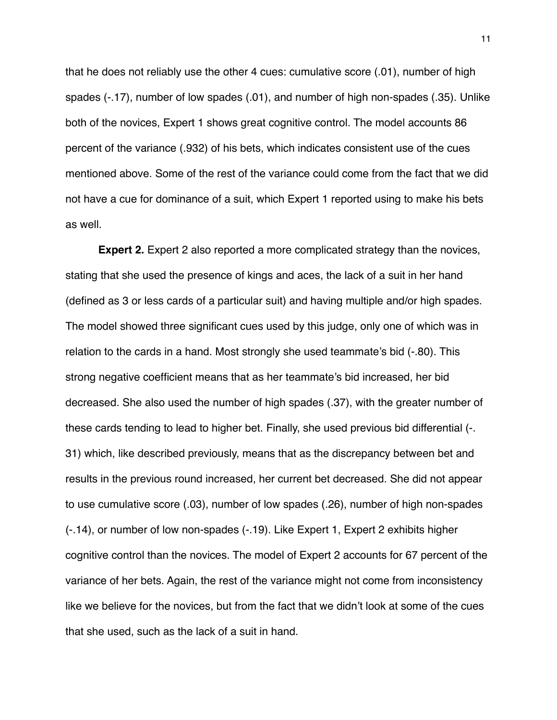that he does not reliably use the other 4 cues: cumulative score (.01), number of high spades (-.17), number of low spades (.01), and number of high non-spades (.35). Unlike both of the novices, Expert 1 shows great cognitive control. The model accounts 86 percent of the variance (.932) of his bets, which indicates consistent use of the cues mentioned above. Some of the rest of the variance could come from the fact that we did not have a cue for dominance of a suit, which Expert 1 reported using to make his bets as well.

**Expert 2.** Expert 2 also reported a more complicated strategy than the novices, stating that she used the presence of kings and aces, the lack of a suit in her hand (defined as 3 or less cards of a particular suit) and having multiple and/or high spades. The model showed three significant cues used by this judge, only one of which was in relation to the cards in a hand. Most strongly she used teammate's bid (-.80). This strong negative coefficient means that as her teammate's bid increased, her bid decreased. She also used the number of high spades (.37), with the greater number of these cards tending to lead to higher bet. Finally, she used previous bid differential (-. 31) which, like described previously, means that as the discrepancy between bet and results in the previous round increased, her current bet decreased. She did not appear to use cumulative score (.03), number of low spades (.26), number of high non-spades (-.14), or number of low non-spades (-.19). Like Expert 1, Expert 2 exhibits higher cognitive control than the novices. The model of Expert 2 accounts for 67 percent of the variance of her bets. Again, the rest of the variance might not come from inconsistency like we believe for the novices, but from the fact that we didn't look at some of the cues that she used, such as the lack of a suit in hand.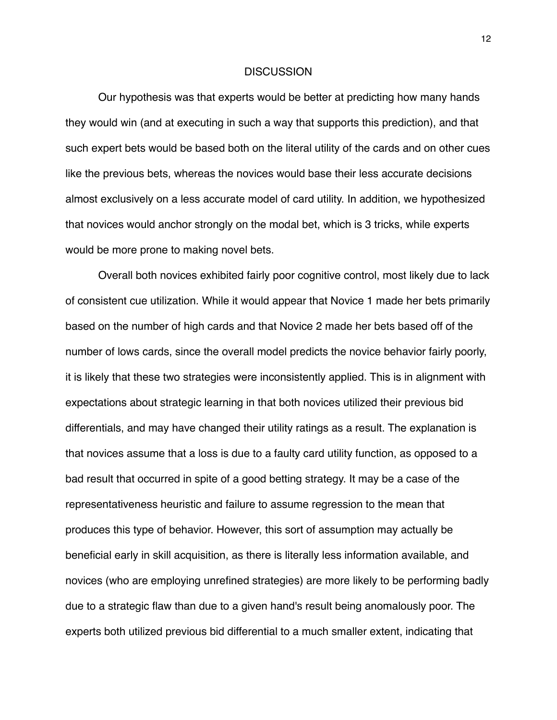#### DISCUSSION

Our hypothesis was that experts would be better at predicting how many hands they would win (and at executing in such a way that supports this prediction), and that such expert bets would be based both on the literal utility of the cards and on other cues like the previous bets, whereas the novices would base their less accurate decisions almost exclusively on a less accurate model of card utility. In addition, we hypothesized that novices would anchor strongly on the modal bet, which is 3 tricks, while experts would be more prone to making novel bets.

Overall both novices exhibited fairly poor cognitive control, most likely due to lack of consistent cue utilization. While it would appear that Novice 1 made her bets primarily based on the number of high cards and that Novice 2 made her bets based off of the number of lows cards, since the overall model predicts the novice behavior fairly poorly, it is likely that these two strategies were inconsistently applied. This is in alignment with expectations about strategic learning in that both novices utilized their previous bid differentials, and may have changed their utility ratings as a result. The explanation is that novices assume that a loss is due to a faulty card utility function, as opposed to a bad result that occurred in spite of a good betting strategy. It may be a case of the representativeness heuristic and failure to assume regression to the mean that produces this type of behavior. However, this sort of assumption may actually be beneficial early in skill acquisition, as there is literally less information available, and novices (who are employing unrefined strategies) are more likely to be performing badly due to a strategic flaw than due to a given hand's result being anomalously poor. The experts both utilized previous bid differential to a much smaller extent, indicating that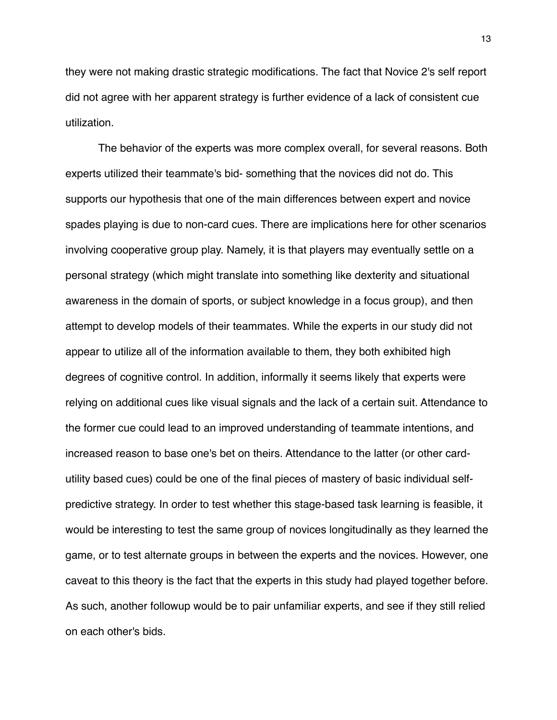they were not making drastic strategic modifications. The fact that Novice 2's self report did not agree with her apparent strategy is further evidence of a lack of consistent cue utilization.

The behavior of the experts was more complex overall, for several reasons. Both experts utilized their teammate's bid- something that the novices did not do. This supports our hypothesis that one of the main differences between expert and novice spades playing is due to non-card cues. There are implications here for other scenarios involving cooperative group play. Namely, it is that players may eventually settle on a personal strategy (which might translate into something like dexterity and situational awareness in the domain of sports, or subject knowledge in a focus group), and then attempt to develop models of their teammates. While the experts in our study did not appear to utilize all of the information available to them, they both exhibited high degrees of cognitive control. In addition, informally it seems likely that experts were relying on additional cues like visual signals and the lack of a certain suit. Attendance to the former cue could lead to an improved understanding of teammate intentions, and increased reason to base one's bet on theirs. Attendance to the latter (or other cardutility based cues) could be one of the final pieces of mastery of basic individual selfpredictive strategy. In order to test whether this stage-based task learning is feasible, it would be interesting to test the same group of novices longitudinally as they learned the game, or to test alternate groups in between the experts and the novices. However, one caveat to this theory is the fact that the experts in this study had played together before. As such, another followup would be to pair unfamiliar experts, and see if they still relied on each other's bids.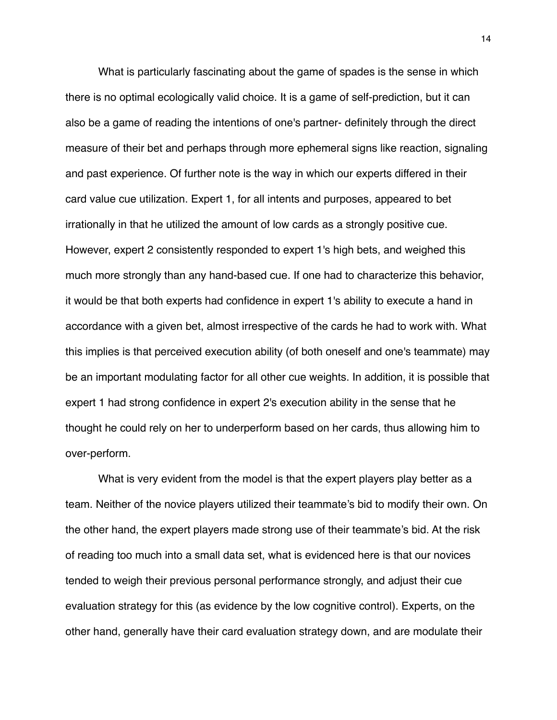What is particularly fascinating about the game of spades is the sense in which there is no optimal ecologically valid choice. It is a game of self-prediction, but it can also be a game of reading the intentions of one's partner- definitely through the direct measure of their bet and perhaps through more ephemeral signs like reaction, signaling and past experience. Of further note is the way in which our experts differed in their card value cue utilization. Expert 1, for all intents and purposes, appeared to bet irrationally in that he utilized the amount of low cards as a strongly positive cue. However, expert 2 consistently responded to expert 1's high bets, and weighed this much more strongly than any hand-based cue. If one had to characterize this behavior, it would be that both experts had confidence in expert 1's ability to execute a hand in accordance with a given bet, almost irrespective of the cards he had to work with. What this implies is that perceived execution ability (of both oneself and one's teammate) may be an important modulating factor for all other cue weights. In addition, it is possible that expert 1 had strong confidence in expert 2's execution ability in the sense that he thought he could rely on her to underperform based on her cards, thus allowing him to over-perform.

What is very evident from the model is that the expert players play better as a team. Neither of the novice players utilized their teammate's bid to modify their own. On the other hand, the expert players made strong use of their teammate's bid. At the risk of reading too much into a small data set, what is evidenced here is that our novices tended to weigh their previous personal performance strongly, and adjust their cue evaluation strategy for this (as evidence by the low cognitive control). Experts, on the other hand, generally have their card evaluation strategy down, and are modulate their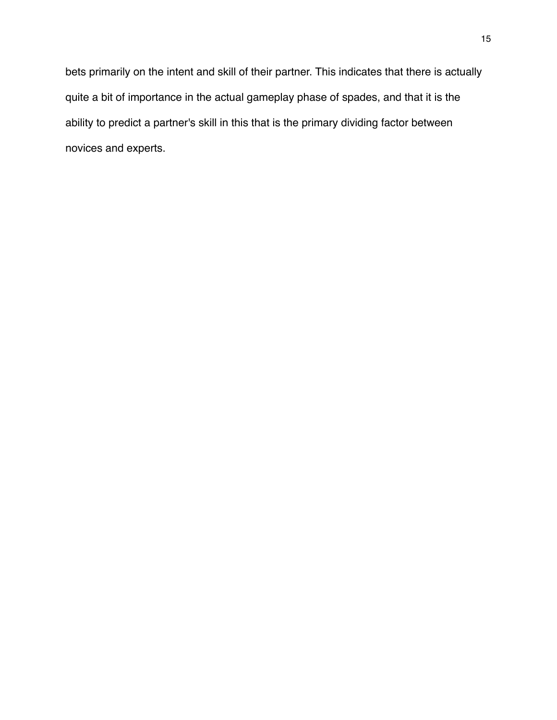bets primarily on the intent and skill of their partner. This indicates that there is actually quite a bit of importance in the actual gameplay phase of spades, and that it is the ability to predict a partner's skill in this that is the primary dividing factor between novices and experts.